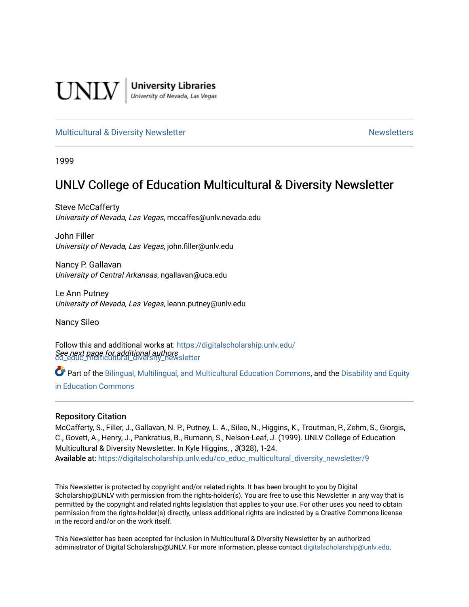

**University Libraries**<br>University of Nevada, Las Vegas

### [Multicultural & Diversity Newsletter](https://digitalscholarship.unlv.edu/co_educ_multicultural_diversity_newsletter) Newsletter [Newsletters](https://digitalscholarship.unlv.edu/co_educ_newsletters) Newsletters

1999

# UNLV College of Education Multicultural & Diversity Newsletter

Steve McCafferty University of Nevada, Las Vegas, mccaffes@unlv.nevada.edu

John Filler University of Nevada, Las Vegas, john.filler@unlv.edu

Nancy P. Gallavan University of Central Arkansas, ngallavan@uca.edu

Le Ann Putney University of Nevada, Las Vegas, leann.putney@unlv.edu

Nancy Sileo

See next page for additional authors [co\\_educ\\_multicultural\\_diversity\\_newsletter](https://digitalscholarship.unlv.edu/co_educ_multicultural_diversity_newsletter?utm_source=digitalscholarship.unlv.edu%2Fco_educ_multicultural_diversity_newsletter%2F9&utm_medium=PDF&utm_campaign=PDFCoverPages)  Follow this and additional works at: [https://digitalscholarship.unlv.edu/](https://digitalscholarship.unlv.edu/co_educ_multicultural_diversity_newsletter?utm_source=digitalscholarship.unlv.edu%2Fco_educ_multicultural_diversity_newsletter%2F9&utm_medium=PDF&utm_campaign=PDFCoverPages)

Part of the [Bilingual, Multilingual, and Multicultural Education Commons,](http://network.bepress.com/hgg/discipline/785?utm_source=digitalscholarship.unlv.edu%2Fco_educ_multicultural_diversity_newsletter%2F9&utm_medium=PDF&utm_campaign=PDFCoverPages) and the Disability and Equity [in Education Commons](http://network.bepress.com/hgg/discipline/1040?utm_source=digitalscholarship.unlv.edu%2Fco_educ_multicultural_diversity_newsletter%2F9&utm_medium=PDF&utm_campaign=PDFCoverPages)

### Repository Citation

McCafferty, S., Filler, J., Gallavan, N. P., Putney, L. A., Sileo, N., Higgins, K., Troutman, P., Zehm, S., Giorgis, C., Govett, A., Henry, J., Pankratius, B., Rumann, S., Nelson-Leaf, J. (1999). UNLV College of Education Multicultural & Diversity Newsletter. In Kyle Higgins, , 3(328), 1-24. Available at: [https://digitalscholarship.unlv.edu/co\\_educ\\_multicultural\\_diversity\\_newsletter/9](https://digitalscholarship.unlv.edu/co_educ_multicultural_diversity_newsletter/9)

This Newsletter is protected by copyright and/or related rights. It has been brought to you by Digital Scholarship@UNLV with permission from the rights-holder(s). You are free to use this Newsletter in any way that is permitted by the copyright and related rights legislation that applies to your use. For other uses you need to obtain permission from the rights-holder(s) directly, unless additional rights are indicated by a Creative Commons license in the record and/or on the work itself.

This Newsletter has been accepted for inclusion in Multicultural & Diversity Newsletter by an authorized administrator of Digital Scholarship@UNLV. For more information, please contact [digitalscholarship@unlv.edu.](mailto:digitalscholarship@unlv.edu)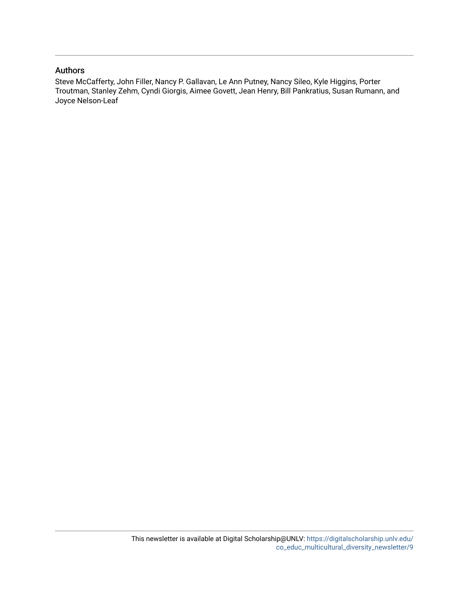### Authors

Steve McCafferty, John Filler, Nancy P. Gallavan, Le Ann Putney, Nancy Sileo, Kyle Higgins, Porter Troutman, Stanley Zehm, Cyndi Giorgis, Aimee Govett, Jean Henry, Bill Pankratius, Susan Rumann, and Joyce Nelson-Leaf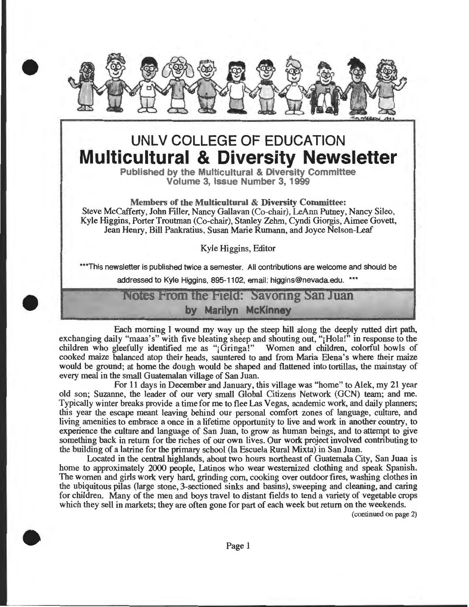

# **UNLV COLLEGE OF EDUCATION Multicultural & Diversity Newsletter**

**Published by the Multicultural & Diversity Committee Volume 3, Issue Number 3, 1999** 

**Members of the Multicultural & Diversity Committee:**  Steve McCafferty, John Filler, Nancy Gallavan (Co-chair), LeAnn Putney, Nancy Sileo, Kyle Higgins, Porter Troutman (Co-chair), Stanley Zehm, Cyndi Giorgis, Aimee Govett, Jean Henry, Bill Pankratius, Susan Marie Rumann, and Joyce Nelson-Leaf

Kyle Higgins, Editor

\*\*\*This newsletter is published twice a semester. All contributions are welcome and should be

addressed to Kyle Higgins, 895-1102, email: higgins@nevada.edu. \*\*\*

# Notes From the Field: Savoring San Juan **by Marilyn McKinney**

Each morning I wound my way up the steep hill along the deeply rutted dirt path, exchanging daily "maaa's" with five bleating sheep and shouting out, "¡Hola!" in response to the children who gleefully identified me as "j Gringa!" Women and children, colorful bowls of cooked maize balanced atop their heads, sauntered to and from Maria Elena's where their maize would be ground; at home the dough would be shaped and flattened into tortillas, the mainstay of every meal in the small Guatemalan village of San Juan.

For 11 days in December and January, this village was "home" to Alek, my 21 year old son; Suzanne, the leader of our *very* small Global Citizens Network (GCN) team; and me. Typically winter breaks provide a time for me to flee Las Vegas, academic work, and daily planners; this year the escape meant leaving behind our personal comfort zones of language, culture, and living amenities to embrace a once in a lifetime opportunity to live and work in another country, to experience the culture and language of San Juan, to grow as human beings, and to attempt to give something back in return for the riches of our own lives. Our work project involved contributing to the building of a latrine for the primary school (la Escuela Rural Mixta) in San Juan.

Located in the central highlands, about two hours northeast of Guatemala City, San Juan is home to approximately 2000 people, Latinos who wear westernized clothing and speak Spanish. The women and girls work very hard, grinding com, cooking over outdoor fires, washing clothes in the ubiquitous pilas (large stone, 3-sectioned sinks and basins), sweeping and cleaning, and caring for children. Many of the men and boys travel to distant fields to tend a variety of vegetable crops which they sell in markets; they are often gone for part of each week but return on the weekends.

(continued on page 2)



•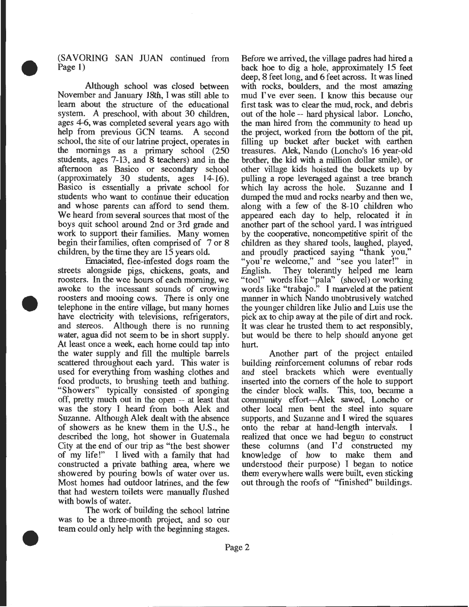(SAVORING SAN JUAN continued from Page 1)

•

•

•

Although school was closed between November and January 18th, I was still able to learn about the structure of the educational system. A preschool, with about 30 children, ages 4-6, was completed several years ago with help from previous GCN teams. A second school, the site of our latrine project, operates in the mornings as a primary school (250 students, ages 7-13, and 8 teachers) and in the afternoon as Basico or secondary school (approximately 30 students, ages 14-16). Basico is essentially a private school for students who want to continue their education and whose parents can afford to send them. We heard from several sources that most of the boys quit school around 2nd or 3rd grade and work to support their families. Many women begin their families, often comprised of 7 or 8 children, by the time they are 15 years old.

Fmaciated, flee-infested dogs roam the streets alongside pigs, chickens, goats, and roosters. In the wee hours of each morning, we awoke to the incessant sounds of crowing roosters and mooing cows. There is only one telephone in the entire village, but many homes have electricity with televisions, refrigerators, and stereos. Although there is no running water, agua did not seem to be in short supply. At least once a week, each home could tap into the water supply and fill the multiple barrels scattered throughout each yard. This water is used for everything from washing clothes and food products, to brushing teeth and bathing. "Showers" typically consisted of sponging off, pretty much out in the open -- at least that was the story I heard from both Alek and Suzanne. Although Alek dealt with the absence of showers as he knew them in the U.S., he described the long, hot shower in Guatemala City at the end of our trip as "the best shower of my life!" I lived with a family that had constructed a private bathing area, where we showered by pouring bowls of water over us. Most homes had outdoor latrines, and the few that had western toilets were manually flushed with bowls of water.

The work of building the school latrine was to be a three-month project, and so our team could only help with the beginning stages . Before we arrived, the village padres had hired a back hoe to dig a hole, approximately 15 feet deep, 8 feet long, and 6 feet across. It was lined with rocks, boulders, and the most amazing mud I've ever seen. I know this because our first task was to clear the mud, rock, and debris out of the hole -- hard physical labor. Loncho, the man hired from the community to head up the project, worked from the bottom of the pit, filling up bucket after bucket with earthen treasures. Alek, Nando (Loncho's 16 year-old brother, the kid with a million dollar smile), or other village kids hoisted the buckets up by pulling a rope leveraged against a tree branch which lay across the hole. Suzanne and I dumped the mud and rocks nearby and then we, along with a few of the 8-10 children who appeared each day to help, relocated it in another part of the school yard. I was intrigued by the cooperative, noncompetitive spirit of the children as they shared tools, laughed, played, and proudly practiced saying "thank you," "you're welcome," and "see you later!" in English. They tolerantly helped me learn "tool" words like "pala" (shovel) or working words like "trabajo." I marveled at the patient manner in which Nando unobtrusively watched the younger children like Julio and Luis use the pick ax to chip away at the pile of dirt and rock. It was clear he trusted them to act responsibly, but would be there to help should anyone get hurt.

Another part of the project entailed building reinforcement columns of rebar rods and steel brackets which were eventually inserted into the comers of the hole to support the cinder block walls. This, too, became a community effort---Alek sawed, Loncho or other local men bent the steel into square supports, and Suzanne and I wired the squares onto the rebar at hand-length intervals. I realized that once we had begun to construct these columns (and I'd constructed my knowledge of how to make them and understood their purpose) I began to notice them everywhere walls were built, even sticking out through the roofs of "finished" buildings.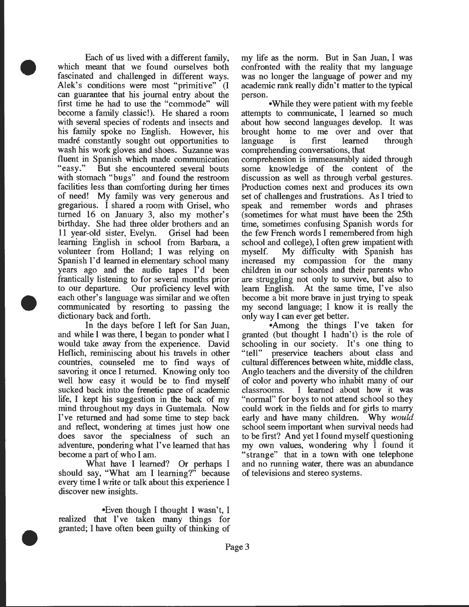Each of us lived with a different family, which meant that we found ourselves both fascinated and challenged in different ways. Alek's conditions were most "primitive" (I can guarantee that his journal entry about the first time he had to use the "commode" will become a family classic!). He shared a room with several species of rodents and insects and his family spoke no English. However, his madre constantly sought out opportunities to wash his work gloves and shoes. Suzanne was fluent in Spanish which made communication<br>"easy." But she encountered several bouts But she encountered several bouts with stomach "bugs" and found the restroom facilities less than comforting during her times of need! My family was very generous and gregarious. I shared a room with Grisel, who turned 16 on January 3, also my mother's birthday. She had three older brothers and an 11 year-old sister, Evelyn. Grisel had been learning English in school from Barbara, a volunteer from Holland; I was relying on Spanish I'd learned in elementary school many years ago and the audio tapes I'd been frantically listening to for several months prior to our departure. Our proficiency level with each other's language was similar and we often communicated by resorting to passing the dictionary back and forth.

•

•

•

In the days before I left for San Juan, and while I was there, I began to ponder what I would take away from the experience. David Heflich, reminiscing about his travels in other countries, counseled me to find ways of savoring it once I returned. Knowing only too well how easy it would be to find myself sucked back into the frenetic pace of academic life, I kept his suggestion in the back of my mind throughout my days in Guatemala. Now I've returned and had some time to step back and reflect, wondering at times just how one does savor the specialness of such an adventure, pondering what I've learned that has become a part of who I am.

What have I learned? Or perhaps I should say, "What am I learning?" because every time I write or talk about this experience I discover new insights.

•Even though I thought I wasn't, I realized that I've taken many things for granted; I have often been guilty of thinking of my life as the norm. But in San Juan, I was confronted with the reality that my language was no longer the language of power and my academic rank really didn't matter to the typical person.

•While they were patient with my feeble attempts to communicate, I learned so much about how second languages develop. It was brought home to me over and over that language is first learned through comprehending conversations, that comprehension is immeasurably aided through some knowledge of the content of the discussion as well as through verbal gestures. Production comes next and produces its own set of challenges and frustrations. As I tried to speak and remember words and phrases (sometimes for what must have been the 25th time, sometimes confusing Spanish words for the few French words I remembered from high school and college), I often grew impatient with myself. My difficulty with Spanish has increased my compassion for the many children in our schools and their parents who are struggling not only to survive, but also to learn English. At the same time, I've also become a bit more brave in just trying to speak my second language; I know it is really the only way I can ever get better.

•Among the things I've taken for granted (but thought I hadn't) is the role of schooling in our society. It's one thing to "tell" preservice teachers about class and cultural differences between white, middle class, Anglo teachers and the diversity of the children of color and poverty who inhabit many of our classrooms. I learned about how it was "normal" for boys to not attend school so they could work in the fields and for girls to marry early and have many children. Why *would*  school seem important when survival needs had to be first? And yet I found myself questioning my own values, wondering why I found it "strange" that in a town with one telephone and no running water, there was an abundance of televisions and stereo systems.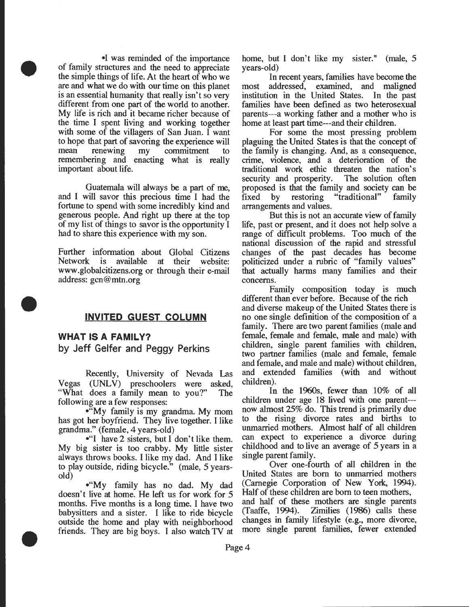•I was reminded of the importance of family structures and the need to appreciate the simple things of life. At the heart of who we are and what we do with our time on this planet is an essential humanity that really isn't so very different from one part of the world to another. My life is rich and it became richer because of the time I spent living and working together with some of the villagers of San Juan. I want to hope that part of savoring the experience will mean renewing my commitment to remembering and enacting what is really important about life.

•

•

•

Guatemala will always be a part of me, and I will savor this precious time I had the fortune to spend with some incredibly kind and generous people. And right up there at the top of my list of things to savor is the opportunity I had to share this experience with my son.

Further information about Global Citizens Network is available at their website: www.globalcitizens.org or through their e-mail address: gcn @mtn.org

### **INVITED GUEST COLUMN**

### **WHAT IS A FAMILY?**

**by Jeff Getter and Peggy Perkins** 

Recently, University of Nevada Las Vegas (UNLV) preschoolers were asked, "What does a family mean to you?" The following are a few responses:

•"My family is my grandma. My mom has got her boyfriend. They live together. I like grandma." (female, 4 years-old)

•"I have 2 sisters, but I don't like them. My big sister is too crabby. My little sister always throws books. I like my dad. And I like to play outside, riding bicycle." (male, 5 yearsold)

•"My family has no dad. My dad doesn't live at home. He left us for work for 5 months. Five months is a long time. I have two babysitters and a sister. I like to ride bicycle outside the home and play with neighborhood friends. They are big boys. I also watch TV at

home, but I don't like my sister." (male, 5 years-old)

In recent years, families have become the most addressed, examined, and maligned institution in the United States. In the past families have been defined as two heterosexual parents---a working father and a mother who is home at least part time---and their children.

For some the most pressing problem plaguing the United States is that the concept of the family is changing. And, as a consequence, crime, violence, and a deterioration of the traditional work ethic threaten the nation's security and prosperity. The solution often proposed is that the family and society can be fixed by restoring "traditional" family arrangements and values.

But this is not an accurate view of family life, past or present, and it does not help solve a range of difficult problems. Too much of the national discussion of the rapid and stressful changes of the past decades has become politicized under a rubric of "family values" that actually harms many families and their concerns.

Family composition today is much different than ever before. Because of the rich and diverse makeup of the United States there is no one single definition of the composition of a family. There are two parent families (male and female, female and female, male and male) with children, single parent families with children, two partner families (male and female, female and female, and male and male) without children, and extended families (with and without children).

In the 1960s, fewer than 10% of all children under age 18 lived with one parent-- now almost 25% do. This trend is primarily due to the rising divorce rates and births to unmarried mothers. Almost half of all children can expect to experience a divorce during childhood and to live an average of 5 years in a single parent family.

Over one-fourth of all children in the United States are born to unmarried mothers (Carnegie Corporation of New York, 1994). Half of these children are born to teen mothers, and half of these mothers are single parents (Taaffe, 1994). Zimilies (1986) calls these changes in family lifestyle (e.g., more divorce, more single parent families, fewer extended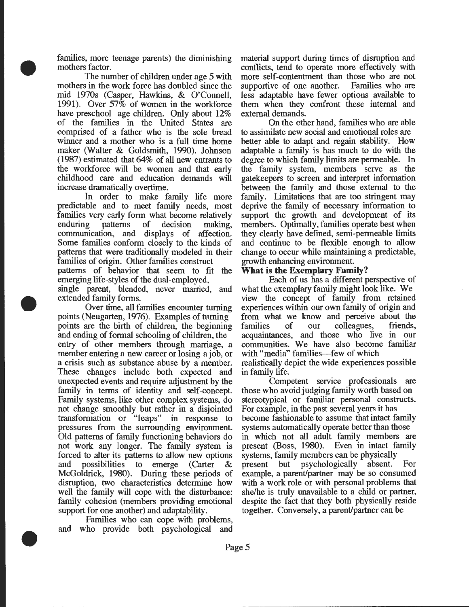families, more teenage parents) the diminishing mothers factor.

•

•

•

The number of children under age 5 with mothers in the work force has doubled since the mid 1970s (Casper, Hawkins, & O'Connell, 1991). Over  $57\%$  of women in the workforce have preschool age children. Only about 12% of the families in the United States are comprised of a father who is the sole bread winner and a mother who is a full time home maker (Walter & Goldsmith, 1990). Johnson (1987) estimated that 64% of all new entrants to the workforce will be women and that early childhood care and education demands will increase dramatically overtime.

In order to make family life more predictable and to meet family needs, most families very early form what become relatively enduring patterns of decision making, communication, and displays of affection. Some families conform closely to the kinds of patterns that were traditionally modeled in their families of origin. Other families construct patterns of behavior that seem to fit the emerging life-styles of the dual-employed,

single parent, blended, never married, and extended family forms.

Over time, all families encounter turning points (Neugarten, 1976). Examples of turning points are the birth of children, the beginning and ending of formal schooling of children, the entry of other members through marriage, a member entering a new career or losing a job, or a crisis such as substance abuse by a member. These changes include both expected and unexpected events and require adjustment by the family in terms of identity and self-concept. Family systems, like other complex systems, do not change smoothly but rather in a disjointed transformation or "leaps" in response to pressures from the surrounding environment Old patterns of family functioning behaviors do not work any longer. The family system is forced to alter its patterns to allow new options<br>and possibilities to emerge (Carter  $\&$ possibilities to emerge (Carter  $\&$ McGoldrick, 1980). During these periods of disruption, two characteristics determine how well the family will cope with the disturbance: family cohesion (members providing emotional support for one another) and adaptability.

Families who can cope with problems, and who provide both psychological and

material support during times of disruption and conflicts, tend to operate more effectively with more self-contentment than those who are not supportive of one another. Families who are supportive of one another. less adaptable have fewer options available to them when they confront these internal and external demands.

On the other hand, families who are able to assimilate new social and emotional roles are better able to adapt and regain stability. How adaptable a family is has much to do with the degree to which family limits are permeable. In the family system, members serve as the gatekeepers to screen and interpret information between the family and those external to the family. Limitations that are too stringent may deprive the family of necessary information to support the growth and development of its members. Optimally, families operate best when they clearly have defined, semi-permeable limits and continue to be flexible enough to allow change to occur while maintaining a predictable, growth enhancing environment.

### **What is the Exemplary Family?**

Each of us has a different perspective of what the exemplary family might look like. We view the concept of family from retained experiences within our own family of origin and from what we know and perceive about the families of our colleagues, friends, acquaintances, and those who live in our communities. We have also become familiar with "media" families---few of which realistically depict the wide experiences possible in family life.

Competent service professionals are those who avoid judging family worth based on stereotypical or familiar personal constructs. For example, in the past several years it has become fashionable to assume that intact family systems automatically operate better than those in which not all adult family members are present (Boss, 1980). Even in intact family systems, family members can be physically present but psychologically absent. For example, a parent/partner may be so consumed with a work role or with personal problems that she/he is truly unavailable to a child or partner, despite the fact that they both physically reside together. Conversely, a parent/partner can be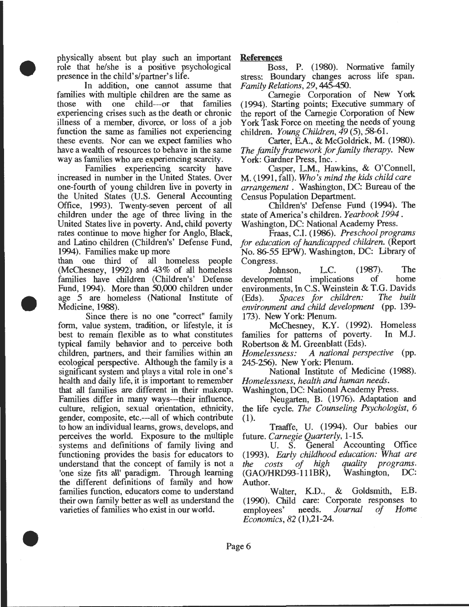physically absent but play such an important role that he/she is a positive psychological presence in the child's/partner's life.

•

•

•

In addition, one cannot assume that families with multiple children are the same as those with one child---or that families experiencing crises such as the death or chronic illness of a member, divorce, or loss of a job function the same as families not experiencing these events. Nor can we expect families who have a wealth of resources to behave in the same way as families who are experiencing scarcity.

Families experiencing scarcity have increased in number in the United States. Over one-fourth of young children live in poverty in the United States (U.S. General Accounting Office, 1993). Twenty-seven percent of all children under the age of three living in the United States live in poverty. And, child poverty rates continue to move higher for Anglo, Black, and Latino children (Children's' Defense Fund, 1994). Families make up more

than one third of all homeless people (McChesney, 1992) and 43% of all homeless families have children (Children's' Defense Fund, 1994). More than 50,000 children under age 5 are homeless (National Institute of Medicine, 1988).

Since there is no one "correct" family form, value system, tradition, or lifestyle, it is best to remain flexible as to what constitutes typical family behavior and to perceive both children, partners, and their families within an ecological perspective. Although the family is a significant system and plays a vital role in one's health and daily life, it is important to remember that all families are different in their makeup. Families differ in many ways---their influence, culture, religion, sexual orientation, ethnicity, gender, composite, etc.---all of which contribute to how an individual learns, grows, develops, and perceives the world. Exposure to the multiple systems and definitions of family living and functioning provides the basis for educators to understand that the concept of family is not a 'one size fits all' paradigm. Through learning the different definitions of family and how families function, educators come to understand their own family better as well as understand the varieties of families who exist in our world.

### **References**

Boss, P. (1980). Normative family stress: Boundary changes across life span. *Family Relations, 29,445-450.* 

Carnegie Corporation of New York (1994). Starting points; Executive summary of the report of the Carnegie Corporation of New York Task Force on meeting the needs of young children. *Young Children, 49* (5), 58-61.

Carter, E.A., & McGoldrick, M. (1980). *The family framework for family therapy.* New York: Gardner Press, Inc..

Casper, L.M., Hawkins, & O'Connell, M. (1991, fall). *Who's mind the kids child care arrangement* . Washington, DC: Bureau of the Census Population Department.

Children's' Defense Fund (1994). The state of America's children. *Yearbook 1994.*  Washington, DC: National Academy Press.

Fraas, C.I. (1986). *Preschool programs for education of handicapped children.* (Report No. 86-55 EPW). Washington, DC: Library of Congress.

Johnson, L.C. (1987). The<br>mental implications of home developmental environments, In C.S. Weinstein & T.G. Davids<br>(Eds) Spaces for children: The built (Eds). Spaces for children: *environment* and *child development* (pp. 139- 173). New York: Plenum.

McChesney, K.Y. (1992). Homeless families for patterns of poverty. In M.J. Robertson & M. Greenblatt (Eds).

*Homelessness: A national perspective* (pp. 245-256). New York: Plenum.

National Institute of Medicine (1988). *Homelessness, health and human needs.* 

Washington, DC: National Academy Press.

Neugarten, B. (1976). Adaptation and the life cycle. *The Counseling Psychologist, 6*  (1).

Traaffe, U. (1994). Our babies our future. *Carnegie Quarterly,* 1-15.

U. S. General Accounting Office (1993). *Early childhood education: What are the costs of high quality programs.*   $(GAO/HRD93-111B\overline{R}),$ Author.

Walter, K.D., & Goldsmith, E.B. (1990). Child care: Corporate responses to employees' needs. *Journal of Home Economics, 82* (1),21-24 .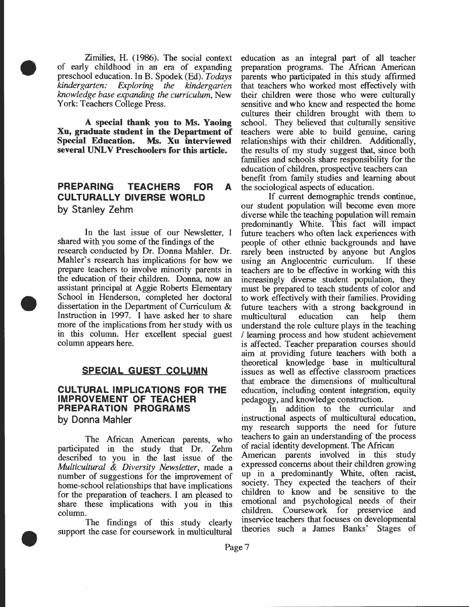Zimilies, H. (1986). The social context of early childhood in an era of expanding preschool education. In B. Spodek (Ed). *Todays kindergarten: Exploring the kindergarten krwwledge base expanding the curriculum,* New York: Teachers College Press.

•

•

•

**A special thank you to** Ms. **Yaoing Xu, graduate student in the Department of Special Education. Ms. Xu interviewed several UNL V Preschoolers for this article.** 

## **PREPARING TEACHERS FOR A** the sociological aspects of education. **CULTURALLY DIVERSE WORLD by Stanley Zehm**

In the last issue of our Newsletter, I shared with you some of the findings of the research conducted by Dr. Donna Mahler. Dr. Mahler's research has implications for how we prepare teachers to involve minority parents in the education of their children. Donna, now an assistant principal at Aggie Roberts Elementary School in Henderson, completed her doctoral dissertation in the Department of Curriculum & Instruction in 1997. I have asked her to share more of the implications from her study with us in this column. Her excellent special guest column appears here.

### **SPECIAL GUEST COLUMN**

### **CULTURAL IMPLICATIONS FOR THE IMPROVEMENT OF TEACHER PREPARATION PROGRAMS by Donna Mahler**

The Mrican American parents, who participated in the study that Dr. Zehm described to you in the last issue of the *Multicultural* & *Diversity Newsletter,* made a number of suggestions for the improvement of home-school relationships that have implications for the preparation of teachers. I am pleased to share these implications with you in this column.

The findings of this study clearly support the case for coursework in multicultural education as an integral part of all teacher preparation programs. The African American parents who participated in this study affirmed that teachers who worked most effectively with their children were those who were culturally sensitive and who knew and respected the home cultures their children brought with them to school. They believed that culturally sensitive teachers were able to build genuine, caring relationships with their children. Additionally, the results of my study suggest that, since both families and schools share responsibility for the education of children, prospective teachers can benefit from family studies and learning about

If current demographic trends continue, our student population will become even more diverse while the teaching population will remain predominantly White. This fact will impact future teachers who often lack experiences with people of other ethnic backgrounds and have rarely been instructed by anyone but Anglos<br>using an Anglocentric curriculum. If these using an Anglocentric curriculum. teachers are to be effective in working with this increasingly diverse student population, they must be prepared to teach students of color and to work effectively with their families. Providing future teachers with a strong background in multicultural education can help them understand the role culture plays in the teaching /learning process and how student achievement is affected. Teacher preparation courses should aim at providing future teachers with both a theoretical knowledge base in multicultural issues as well as effective classroom practices that embrace the dimensions of multicultural education, including content integration, equity pedagogy, and knowledge construction.

In addition to the curricular and instructional aspects of multicultural education, my research supports the need for future teachers to gain an understanding of the process of racial identity development. The Mrican American parents involved in this study expressed concerns about their children growing up in a predominantly White, often racist, society. They expected the teachers of their children to know and be sensitive to the emotional and psychological needs of their children. Coursework for preservice and inservice teachers that focuses on developmental theories such a James Banks' Stages of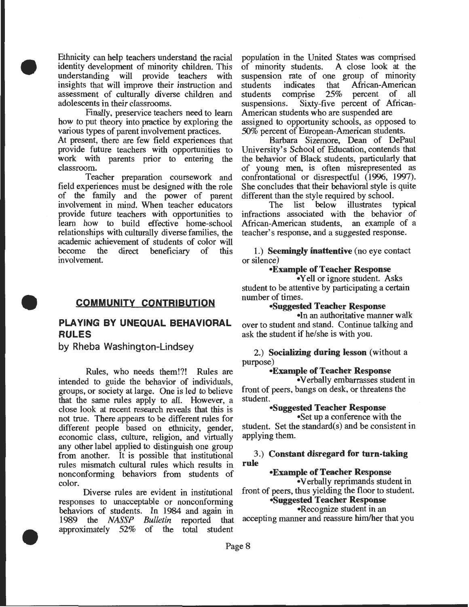Ethnicity can help teachers understand the racial identity development of minority children. This understanding will provide teachers with insights that will improve their instruction and assessment of culturally diverse children and adolescents in their classrooms.

•

•

•

Finally, preservice teachers need to learn how to put theory into practice by exploring the various types of parent involvement practices.

At present, there are few field experiences that provide future teachers with opportunities to work with parents prior to entering the classroom.

Teacher preparation coursework and field experiences must be designed with the role of the family and the power of parent involvement in mind. When teacher educators provide future teachers with opportunities to learn how to build effective home-school relationships with culturally diverse families, the academic achievement of students of color will<br>become the direct beneficiary of this direct beneficiary of this involvement

### **COMMUNITY CONTRIBUTION**

# **PLAYING BY UNEQUAL BEHAVIORAL RULES**

**by Rheba Washington-Lindsey** 

Rules, who needs them!?! Rules are intended to guide the behavior of individuals, groups, or society at large. One is led to believe that the same rules apply to all. However, a close look at recent research reveals that this is not true. There appears to be different rules for different people based on ethnicity, gender, economic class, culture, religion, and virtually any other label applied to distinguish one group from another. It is possible that institutional rules mismatch cultural rules which results in nonconforming behaviors from students of color.

Diverse rules are evident in institutional responses to unacceptable or nonconforming behaviors of students. In 1984 and again in 1989 the *NASSP Bulletin* reported that approximately 52% of the total student

population in the United States was comprised of minority students. A close look at the suspension rate of one group of minority<br>students indicates that African-American students indicates that African-American<br>students comprise 25% percent of all percent of all suspensions. Sixty-five percent of African-American students who are suspended are assigned to opportunity schools, as opposed to 50% percent of European-American students.

Barbara Sizemore, Dean of DePaul University's School of Education, contends that the behavior of Black students, particularly that of young men, is often misrepresented as confrontational or disrespectful (1996, 1997). She concludes that their behavioral style is quite different than the style required by school.

The list below illustrates typical infractions associated with the behavior of Mrican-American students, an example of a teacher's response, and a suggested response.

1.) **Seemingly inattentive** (no eye contact or silence)

### **•Example of Teacher Response**

• Yell or ignore student. Asks student to be attentive by participating a certain number of times.

### **•Suggested Teacher Response**

•In an authoritative manner walk over to student and stand. Continue talking and ask the student if he/she is with you.

2.) **Socializing during lesson** (without a purpose)

### **•Example of Teacher Response**

•Verbally embarrasses student in front of peers, bangs on desk, or threatens the student.

### **•Suggested Teacher Response**

•Set up a conference with the student. Set the standard(s) and be consistent in applying them.

### 3.) **Constant disregard for turn-taking rule**

### **•Example of Teacher Response**

•Verbally reprimands student in front of peers, thus yielding the floor to student.

### **•Suggested Teacher Response**

•Recognize student in an

accepting manner and reassure him/her that you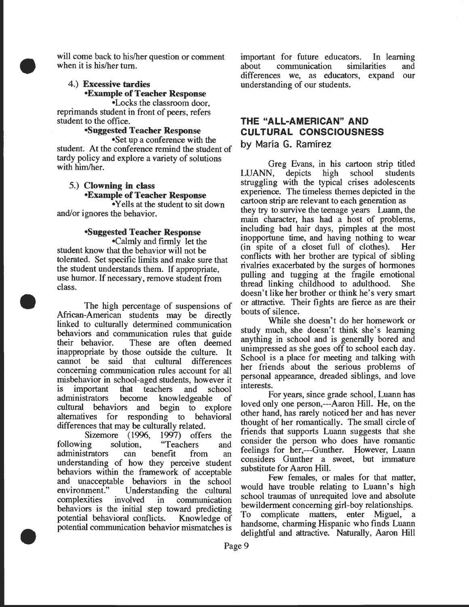will come back to his/her question or comment when it is his/her tum.

### 4.) Excessive tardies •Example of Teacher Response

•

•

•

•Locks the classroom door reprimands student in front of peers, refers student to the office.

### •Suggested Teacher Response

•Set up a conference with the student. At the conference remind the student of tardy policy and explore a variety of solutions with him/her.

### 5.) Clowning in class •Example of Teacher Response

• Yells at the student to sit down and/or ignores the behavior.

### •Suggested Teacher Response

•Calmly and firmly let the student know that the behavior will not be tolerated. Set specific limits and make sure that the student understands them. If appropriate, use humor. If necessary, remove student from class.

The high percentage of suspensions of African-American students may be directly linked to culturally determined communication behaviors and communication rules that guide<br>their behavior. These are often deemed These are often deemed inappropriate by those outside the culture. It cannot be said that cultural differences concerning communication rules account for all misbehavior in school-aged students, however it is important that teachers and school administrators become knowledgeable of cultural behaviors and begin to explore alternatives for responding to behavioral differences that may be culturally related.

Sizemore (1996, 1997) offers the<br>ng solution, "Teachers and following solution, "Teachers and administrators can benefit from an understanding of how they perceive student behaviors within the framework of acceptable and unacceptable behaviors in the school<br>environment." Understanding the cultural Understanding the cultural complexities involved in communication behaviors is the initial step toward predicting potential behavioral conflicts. Knowledge of potential communication behavior mismatches is

important for future educators. In learning about communication similarities and differences we, as educators, expand our understanding of our students.

# **THE "ALL-AMERICAN" AND CULTURAL CONSCIOUSNESS**

by Maria G. Ramirez

Greg Evans, in his cartoon strip titled<br>N, depicts high school students LUANN, depicts high struggling with the typical crises adolescents experience: The timeless themes depicted in the cartoon strip are relevant to each generation as they try to survive the teenage years Luann, the main character, has had a host of problems, including bad hair days, pimples at the most inopportune time, and having nothing to wear (in spite of a closet full of clothes). Her conflicts with her brother are typical of sibling nvalnes exacerbated by the surges of hormones pulling and tugging at the fragile emotional thread linking childhood to adulthood. She doesn't like her brother or think he's very smart or attractive. Their fights are fierce as are their bouts of silence.

While she doesn't do her homework or study much, she doesn't think she's learning anything in school and is generally bored and unimpressed as she goes off to school each day. School is a place for meeting and talking with her friends about the serious problems of personal appearance, dreaded siblings, and love interests.

For years, since grade school, Luann has loved only one person,---Aaron Hill. He, on the other hand, has rarely noticed her and has never thought of her romantically. The small circle of friends that supports Luann suggests that she constder the person who does have romantic feelings for her,---Gunther. However, Luann constders Gunther a sweet, but immature substitute for Aaron Hill.

Few females, or males for that matter would have trouble relating to Luann's high school traumas of unrequited love and absolute bewilderment concerning girl-boy relationships. To complicate matters, enter Miguel, a handsome, charming Hispanic who finds Luann delightful and attractive. Naturally, Aaron Hill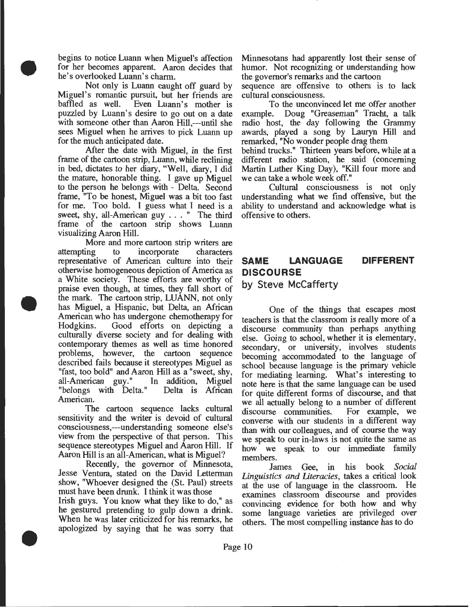begins to notice Luann when Miguel's affection for her becomes apparent. Aaron decides that he's overlooked Luann's charm.

•

•

•

Not only is Luann caught off guard by Miguel's romantic pursuit, but her friends are baffled as well. Even Luann's mother is puzzled by Luann's desire to go out on a date with someone other than Aaron Hill,---until she sees Miguel when he arrives to pick Luann up for the much anticipated date.

After the date with Miguel, in the first frame of the cartoon strip, Luann, while reclining in bed, dictates to her diary, "Well, diary, I did the mature, honorable thing. I gave up Miguel to the person he belongs with - Delta. Second frame, "To be honest, Miguel was a bit too fast for me. Too bold. I guess what I need is a sweet, shy, all-American guy ... " The third frame of the cartoon strip shows Luann visualizing Aaron Hill.

More and more cartoon strip writers are attempting to incorporate characters representative of American culture into their otherwise homogeneous depiction of America as a White society. These efforts are worthy of praise even though, at times, they fall short of the mark. The cartoon strip, LUANN, not only has Miguel, a Hispanic, but Delta, an African American who has undergone chemotherapy for Hodgkins. Good efforts on depicting a culturally diverse society and for dealing with contemporary themes as well as time honored problems, however, the cartoon sequence described fails because it stereotypes Miguel as "fast, too bold" and Aaron Hill as a "sweet, shy, all-American guy." In addition, Miguel "belongs with Delta." Delta is Mrican American.

The cartoon sequence lacks cultural sensitivity and the writer is devoid of cultural consciousness,---understanding someone else's view from the perspective of that person. This sequence stereotypes Miguel and Aaron Hill. If Aaron Hill is an all-American, what is Miguel?

Recently, the governor of Minnesota, Jesse Ventura, stated on the David Letterman show, "Whoever designed the (St. Paul) streets must have been drunk. I think it was those Irish guys. You know what they like to do," as

he gestured pretending to gulp down a drink. When he was later criticized for his remarks, he apologized by saying that he was sorry that

Minnesotans had apparently lost their sense of humor. Not recognizing or understanding how the governor's remarks and the cartoon

sequence are offensive to others is to lack cultural consciousness.

To the unconvinced let me offer another example. Doug "Greaseman" Tracht, a talk radio host, the day following the Grammy awards, played a song by Lauryn Hill and remarked, "No wonder people drag them

behind trucks." Thirteen years before, while at a different radio station, he said (concerning Martin Luther King Day), "Kill four more and we can take a whole week off."

Cultural consciousness is not only understanding what we find offensive, but the ability to understand and acknowledge what is offensive to others.

# **SAME LANGUAGE DIFFERENT DISCOURSE**

### by Steve McCafferty

One of the things that escapes most teachers is that the classroom is really more of a discourse community than perhaps anything else. Going to school, whether it is elementary, secondary, or university, involves students becoming accommodated to the language of school because language is the primary vehicle for mediating learning. What's interesting to note here is that the same language can be used for quite different forms of discourse, and that we all actually belong to a number of different<br>discourse communities. For example, we discourse communities. converse with our students in a different way than with our colleagues, and of course the way we speak to our in-laws is not quite the same as how we speak to our immediate family members.

James Gee, in his book *Social Linguistics and Literacies,* takes a critical look at the use of language in the classroom. He examines classroom discourse and provides convincing evidence for both how and why some language varieties are privileged over others. The most compelling instance has to do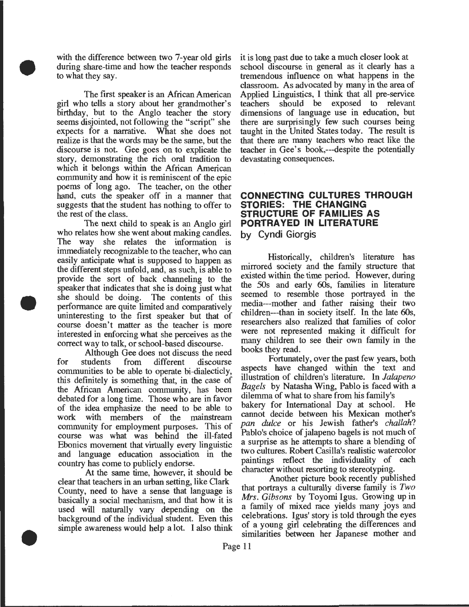with the difference between two 7-year old girls during share-time and how the teacher responds to what they say.

•

•

•

The first speaker is an Mrican American girl who tells a story about her grandmother's birthday, but to the Anglo teacher the story seems disjointed, not following the "script" she expects for a narrative. What she does not realize is that the words may be the same, but the discourse is not. Gee goes on to explicate the story, demonstrating the rich oral tradition to which it belongs within the African American community and how it is reminiscent of the epic poems of long ago. The teacher, on the other hand, cuts the speaker off in a manner that suggests that the student has nothing to offer to the rest of the class.

The next child to speak is an Anglo girl who relates how she went about making candles. The way she relates the information is immediately recognizable to the teacher, who can easily anticipate what is supposed to happen as the different steps unfold, and, as such, is able to provide the sort of back channeling to the speaker that indicates that she is doing just what she should be doing. The contents of this performance are quite limited and comparatively uninteresting to the first speaker but that of course doesn't matter as the teacher is more interested in enforcing what she perceives as the correct way to talk, or school-based discourse.

Although Gee does not discuss the need<br>students from different discourse for students from different discourse communities to be able to operate bi-dialecticly, this definitely is something that, in the case of the Mrican American community, has been debated for a long time. Those who are in favor of the idea emphasize the need to be able to work with members of the mainstream community for employment purposes. This of course was what was behind the ill-fated Ebonies movement that virtually every linguistic and language education association in the country has come to publicly endorse.

At the same time, however, it should be clear that teachers in an urban setting, like Clark County, need to have a sense that language is basically a social mechanism, and that how it is used will naturally vary depending on the background of the individual student. Even this simple awareness would help a lot. I also think

it is long past due to take a much closer look at school discourse in general as it clearly has a tremendous influence on what happens in the classroom. As advocated by many in the area of Applied Linguistics, I think that all pre-service teachers should be exposed to relevant dimensions of language use in education, but there are surprisingly few such courses being taught in the United States today. The result is that there are many teachers who react like the teacher in Gee's book,---despite the potentially devastating consequences.

### **CONNECTING CULTURES THROUGH STORIES: THE CHANGING STRUCTURE OF FAMILIES AS PORTRA YEO IN LITERATURE by Cyndi Giorgis**

Historically, children's literature has mirrored society and the family structure that existed within the time period. However, during the 50s and early 60s, families in literature seemed to resemble those portrayed in the media---mother and father raising their two children---than in society itself. In the late 60s, researchers also realized that families of color were not represented making it difficult for many children to see their own family in the books they read.

Fortunately, over the past few years, both aspects have changed within the text and illustration of children's literature. In *Jalapeno Bagels* by Natasha Wing, Pablo is faced with a dilemma of what to share from his family's bakery for International Day at school. He cannot decide between his Mexican mother's *pan dulce* or his Jewish father's *challah?*  Pablo's choice of jalapeno bagels is not much of a surprise as he attempts to share a blending of two cultures. Robert Casilla's realistic watercolor paintings reflect the individuality of each character without resorting to stereotyping.

Another picture book recently published that portrays a culturally diverse family is *Two Mrs. Gibsons* by Toyomi Igus. Growing up in a family of mixed race yields many joys and celebrations. Igus' story is told through the eyes of a young girl celebrating the differences and similarities between her Japanese mother and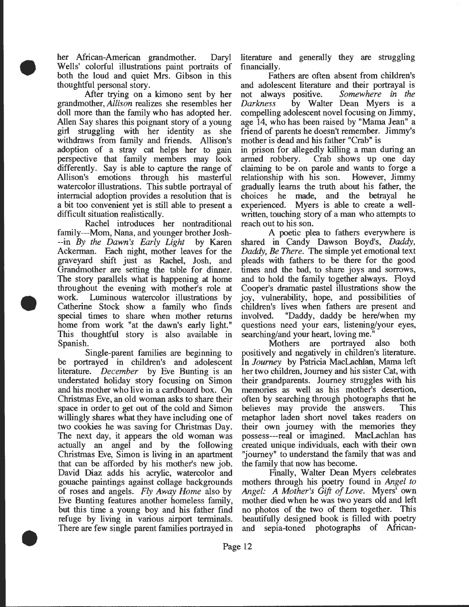her Mrican-American grandmother. Daryl Wells' colorful illustrations paint portraits of both the loud and quiet Mrs. Gibson in this thoughtful personal story.

•

•

•

After trying on a kimono sent by her grandmother, *Allison* realizes she resembles her doll more than the family who has adopted her. Allen Say shares this poignant story of a young girl struggling with her identity as she withdraws from family and friends. Allison's adoption of a stray cat helps her to gain perspective that family members may look differently. Say is able to capture the range of Allison's emotions through his masterful watercolor illustrations. This subtle portrayal of interracial adoption provides a resolution that is a bit too convenient yet is still able to present a difficult situation realistically.

Rachel introduces her nontraditional family---Mom, Nana, and younger brother Josh- --in *By the Dawn's Early Light* by Karen Ackerman. Each night, mother leaves for the graveyard shift just as Rachel, Josh, and Grandmother are setting the table for dinner. The story parallels what is happening at home throughout the evening with mother's role at work. Luminous watercolor illustrations by Catherine Stock show a family who finds special times to share when mother returns home from work "at the dawn's early light." This thoughtful story is also available in Spanish.

Single-parent families are beginning to be portrayed in children's and adolescent literature. *December* by Eve Bunting is an understated holiday story focusing on Simon and his mother who live in a cardboard box. On Christmas Eve, an old woman asks to share their space in order to get out of the cold and Simon willingly shares what they have including one of two cookies he was saving for Christmas Day. The next day, it appears the old woman was actually an angel and by the following Christmas Eve, Simon is living in an apartment that can be afforded by his mother's new job. David Diaz adds his acrylic, watercolor and gouache paintings against collage backgrounds of roses and angels. *Fly Away Home* also by Eve Bunting features another homeless family. but this time a young boy and his father find refuge by living in various airport terminals. There are few single parent families portrayed in

literature and generally they are struggling financially.

Fathers are often absent from children's and adolescent literature and their portrayal is not always positive. *Somewhere in the Darkness* by Walter Dean Myers is a compelling adolescent novel focusing on Jimmy, age 14, who has been raised by "Mama Jean" a friend of parents he doesn't remember. Jimmy's mother is dead and his father "Crab" is

in prison for allegedly killing a man during an armed robbery. Crab shows up one day claiming to be on parole and wants to forge a relationship with his son. However, Jimmy gradually learns the truth about his father, the choices he made, and the betrayal he experienced. Myers is able to create a wellwritten, touching story of a man who attempts to reach out to his son.

A poetic plea to fathers everywhere is shared in Candy Dawson Boyd's, *Daddy, Daddy, Be There.* The simple yet emotional text pleads with fathers to be there for the good times and the bad, to share joys and sorrows, and to hold the family together always. Floyd Cooper's dramatic pastel illustrations show the joy, vulnerability, hope, and possibilities of children's lives when fathers are present and involved. "Daddy, daddy be here/when my questions need your ears, listening/your eyes,

searching/and your heart, loving me.<br>Mothers are portrayed portrayed also both positively and negatively in children's literature. In *Journey* by Patricia MacLachlan, Mama left her two children, Journey and his sister Cat, with their grandparents. Journey struggles with his memories as well as his mother's desertion, often by searching through photographs that he believes may provide the answers. This metaphor laden short novel takes readers on their own journey with the memories they possess---real or imagined. MacLachlan has created unique individuals, each with their own "journey" to understand the family that was and the family that now has become.

Finally, Walter Dean Myers celebrates mothers through his poetry found in *Angel to Angel: A Mother's Gift of Love.* Myers' own mother died when he was two years old and left no photos of the two of them together. This beautifully designed book is filled with poetry and sepia-toned photographs of Mrican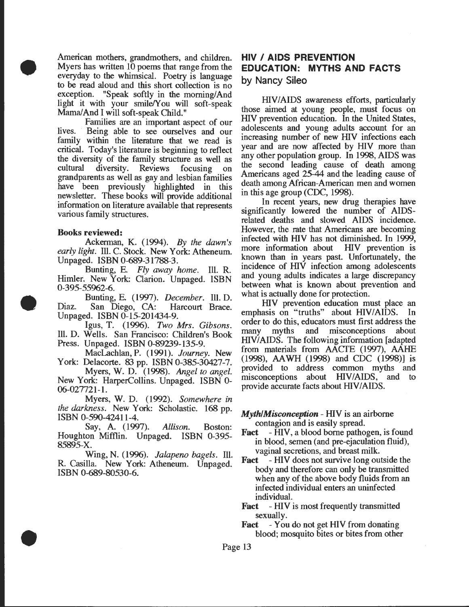American mothers, grandmothers, and children. Myers has written 10 poems that range from the everyday to the whimsical. Poetry is language to be read aloud and this short collection is no exception. "Speak softly in the morning/And light it with your smile/You will soft-speak Mama/And I will soft-speak Child."

Families are an important aspect of our lives. Being able to see ourselves and our family within the literature that we read is critical. Today's literature is beginning to reflect the diversity of the family structure as well as cultural diversity. Reviews focusing on grandparents as well as gay and lesbian families have been previously highlighted in this newsletter. These books will provide additional information on literature available that represents various family structures.

#### Books reviewed:

•

•

•

Ackerman, K. (1994). *By the dawn's early light.* Ill. C. Stock. New York: Atheneum. Unpaged. ISBN 0-689-31788-3.

. Bunting, E. *Fly away home.* Ill. R. Himler. New York: Clarion. Unpaged. ISBN 0-395-55962-6.

Bunting, E. (1997). *December.* Ill. D. Diaz. San Diego, CA: Harcourt Brace. Unpaged. ISBN 0-15-201434-9.

Igus, T. (1996). *Two Mrs. Gibsons.*  Ill. D. Wells. San Francisco: Children's Book Press. Unpaged. ISBN 0-89239-135-9.

MacLachlan, P. (1991). *Journey.* New York: Delacorte. &3 pp. ISBN 0-385-30427-7.

Myers, W. D. (1998). *Angel to angel.*  New York: HarperCollins. Unpaged. ISBN 0- 06-027721-1.

Myers, W. D. (1992). *Somewhere in the darkness.* New York: Scholastic. 168 pp. ISBN 0-590-42411-4.

Say, A. (1997). *Allison.* Boston: Houghton Mifflin. Unpaged. ISBN 0-395- 85895-X.

Wing, N. (1996). *Jalapeno bagels.* Ill. R. Casilla. New York: Atheneum. Unpaged. ISBN 0-689-80530-6.

# **HIV I AIDS PREVENTION EDUCATION: MYTHS AND FACTS**  by Nancy Sileo

HIV/AIDS awareness efforts, particularly those aimed at young people, must focus on HIV prevention education. In the United States adolescents and young adults account for an increasing number of new HIV infections each year and are now affected by HIV more than any other population group. In 1998, AIDS was the second leading cause of death among Americans aged 25-44 and the leading cause of death among African-American men and women in this age group (CDC, 1998).

In recent years, new drug therapies have significantly lowered the number of AIDSrelated deaths and slowed AIDS incidence. However, the rate that Americans are becoming infected with HIV has not diminished. In 1999, more information about HIV prevention is more information about known than in years past. Unfortunately, the incidence of HIV infection among adolescents and young adults indicates a large discrepancy between what is known about prevention and what is actually done for protection.

HIV prevention education must place an emphasis on "truths" about HIV/AIDS. In order to do this, educators must first address the many myths and misconceptions about HIV/AIDS. The following information [adapted from materials from AACfE (1997), AAHE (1998), AA WH (1998) and CDC (1998)] is provided to address common myths and misconceptions about HIV/AIDS, and to provide accurate facts about HIV/AIDS.

*Myth/Misconception* - HIV is an airborne contagion and is easily spread.

- Fact HIV, a blood borne pathogen, is found in blood, semen (and pre-ejaculation fluid) vaginal secretions, and breast milk. '
- Fact HIV does not survive long outside the body and therefore can only be transmitted when any of the above body fluids from an infected individual enters an uninfected individual.
- Fact HIV is most frequently transmitted sexually.

Fact - You do not get HIV from donating blood; mosquito bites or bites from other

Page 13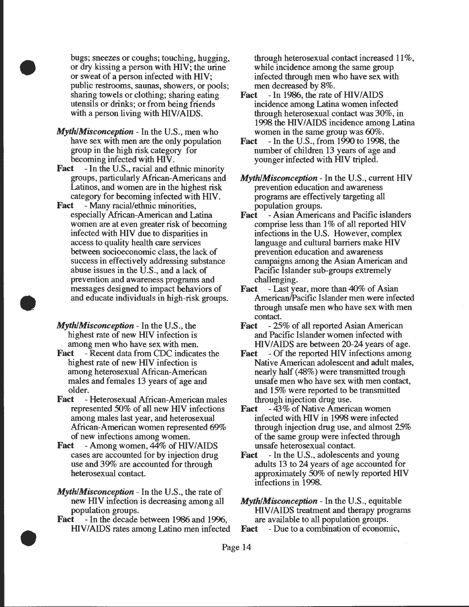bugs; sneezes or coughs; touching, hugging, or dry kissing a person with HIV; the urine or sweat of a person infected with HIV; public restrooms, saunas, showers, or pools; sharing towels or clothing; sharing eating utensils or drinks; or from being friends with a person living with HIV/AIDS.

•

•

•

- *Myth/Misconception-* In the U.S., men who have sex with men are the only population group in the high risk category for becoming infected with HIV.
- **Fact** In the U.S., racial and ethnic minority groups, particularly African-Americans and Latinos, and women are in the highest risk category for becoming infected with HIV.
- Fact Many racial/ethnic minorities, especially Mrican-American and Latina women are at even greater risk of becoming infected with HIV due to disparities in access to quality health care services between socioeconomic class, the lack of success in effectively addressing substance abuse issues in the U.S., and a lack of prevention and awareness programs and messages designed to impact behaviors of and educate individuals in high-risk groups.
- *Myth/Misconception-* In the U.S., the highest rate of new HIV infection is among men who have sex with men.
- Fact Recent data from CDC indicates the highest rate of new HIV infection is among heterosexual African-American males and females 13 years of age and older.
- Fact Heterosexual African-American males represented 50% of all new HIV infections among males last year, and heterosexual African-American women represented 69% of new infections among women.
- Fact Among women, 44% of HIV/AIDS cases are accounted for by injection drug use and 39% are accounted for through heterosexual contact
- *Myth/Misconception-* In the U.S., the rate of new HIV infection is decreasing among all population groups.
- Fact In the decade between 1986 and 1996, HIV/AIDS rates among Latino men infected

through heterosexual contact increased 11%, while incidence among the same group infected through men who have sex with men decreased by 8%.

- Fact  $-$ In 1986, the rate of HIV/AIDS incidence among Latina women infected through heterosexual contact was 30%, in 1998 the HIV/AIDS incidence among Latina women in the same group was 60%.
- **Fact** In the U.S., from 1990 to 1998, the number of children 13 years of age and younger infected with HIV tripled.

*Myth/Misconception-* In the U.S., current HIV prevention education and awareness programs are effectively targeting all population groups.

- Fact Asian Americans and Pacific islanders comprise less than 1% of all reported HIV infections in the U.S. However, complex language and cultural barriers make HIV prevention education and awareness campaigns among the Asian American and Pacific Islander sub-groups extremely challenging.
- Fact Last year, more than 40% of Asian American/Pacific Islander men were infected through unsafe men who have sex with men contact
- Fact 25% of all reported Asian American and Pacific Islander women infected with HIV/AIDS are between 20-24 years of age.
- Fact Of the reported HIV infections among Native American adolescent and adult males, nearly half (48%) were transmitted trough unsafe men who have sex with men contact, and 15% were reported to be transmitted through injection drug use.
- Fact 43% of Native American women infected with HIV in 1998 were infected through injection drug use, and almost 25% of the same group were infected through unsafe heterosexual contact
- Fact In the U.S., adolescents and young adults 13 to 24 years of age accounted for approximately 50% of newly reported HIV infections in 1998.
- *Myth/Misconception-* In the U.S., equitable HIV/AIDS treatment and therapy programs are available to all population groups.
- Fact Due to a combination of economic,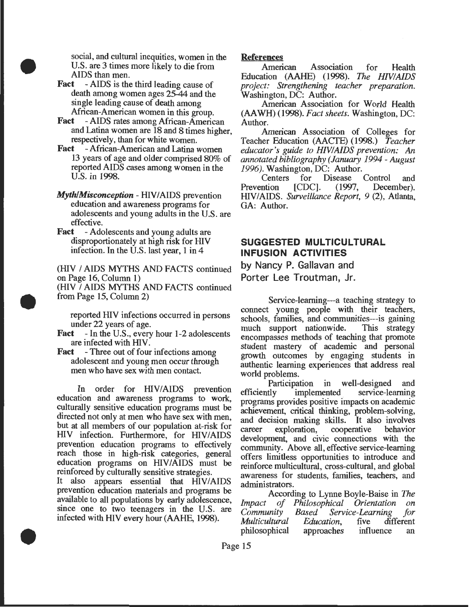social, and cultural inequities, women in the U.S. are 3 times more likely to die from AIDS than men.

Fact - AIDS is the third leading cause of death among women ages 25-44 and the single leading cause of death among African-American women in this group.

•

•

•

- Fact AIDS rates among African-American and Latina women are 18 and 8 times higher, respectively, than for white women.
- Fact -African-American and Latina women 13 years of age and older comprised 80% of reported AIDS cases among women in the U.S. in 1998.
- *Myth/Misconception HIV/AIDS prevention* education and awareness programs for adolescents and young adults in the U.S. are effective.
- Fact Adolescents and young adults are disproportionately at high risk for HIV infection. In the U.S. last year, 1 in 4

(HIV I AIDS MYTHS AND FACfS continued on Page 16, Column 1) (HIV I AIDS MYTHS AND FACTS continued from Page 15, Column 2)

reported HIV infections occurred in persons under 22 years of age.

- Fact In the U.S., every hour 1-2 adolescents are infected with HIV.
- Fact Three out of four infections among adolescent and young men occur through men who have sex with men contact.

In order for HIV/AIDS prevention education and awareness programs to work, culturally sensitive education programs must be directed not only at men who have sex with men, but at all members of our population at-risk for HIV infection. Furthermore, for HIVIAIDS prevention education programs to effectively reach those in high-risk categories, general education programs on HIV/AIDS must be reinforced by culturally sensitive strategies.

It also appears essential that HIV/AIDS prevention education materials and programs be available to all populations by early adolescence, since one to two teenagers in the U.S. are infected with HIV every hour (AAHE, 1998).

### References

American Association for Health Education (AAHE) (1998). *The HNIAIDS project: Strengthening teacher preparation.*  Washington, DC: Author.

American Association for World Health (AA WH) (1998). *Fact sheets.* Washington, DC: Author.

American Association of Colleges for Teacher Education (AACTE) (1998.) *Teacher educator's guide to HNIAIDS prevention:* An *annotated bibliography* (January *1994 -August 1996*). Washington, DC: Author.<br>Centers for Disease

Centers for Disease Control and<br>Prevention [CDC]. (1997, December). December). HIV *I* AIDS. *Surveillance Report, 9* (2), Atlanta, GA: Author.

# **SUGGESTED MULTICULTURAL INFUSION ACTIVITIES**

by Nancy P. Gallavan and Porter Lee Troutman, Jr.

Service-learning---a teaching strategy to connect young people with their teachers, schools, families, and communities---is gaining much support nationwide. This strategy encompasses methods of teaching that promote student mastery of academic and personal growth outcomes by engaging students in authentic learning experiences that address real world problems.

Participation in well-designed and efficiently implemented service-learning programs provides positive impacts on academic achievement, critical thinking, problem-solving, and decision making skills. It also involves career exploration, cooperative behavior development, and civic connections with the community. Above all, effective service-learning offers limitless opportunities to introduce and reinforce multicultural, cross-cultural, and global awareness for students, families, teachers, and administrators.

According to Lynne Boyle-Baise in *The Impact of Philosophical Orientation on Community Based Service-Learning for Multicultural Education*, five dif<br>philosophical approaches influence philosophical approaches influence an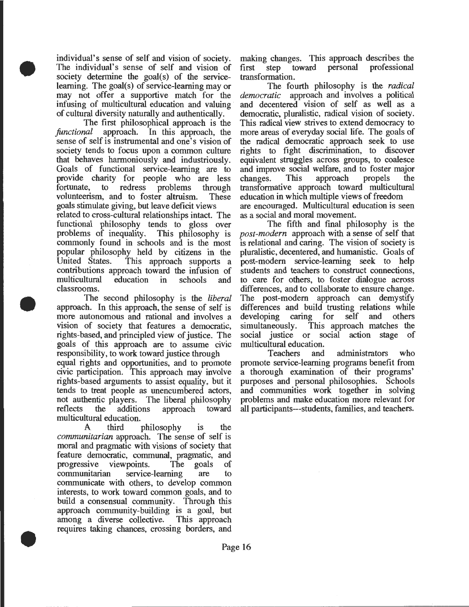individual's sense of self and vision of society. The individual's sense of self and vision of society determine the  $goal(s)$  of the serviceleaming. The goal(s) of setvice-leaming may or may not offer a supportive match for the infusing of multicultural education and valuing of cultural diversity naturally and authentically.

•

•

•

The first philosophical approach is the *functional* approach. In this approach, the *functional* approach. In this approach, the sense of self is instrumental and one's vision of society tends to focus upon a common culture that behaves harmoniously and industriously. Goals of functional service-learning are to provide charity for people who are less<br>fortunate, to redress problems through to redress problems volunteerism, and to foster altruism. These goals stimulate giving, but leave deficit views related to cross-cultural relationships intact. The functional philosophy tends to gloss over problems of inequality. This philosophy is commonly found in schools and is the most popular philosophy held by citizens in the United States. This approach supports a contributions approach toward the infusion of multicultural education in schools and classrooms.

The second philosophy is the *liberal*  approach. In this approach, the sense of self is more autonomous and rational and involves a vision of society that features a democratic, rights-based, and principled view of justice. The goals of this approach are to assume civic responsibility, to work toward justice through

equal rights and opportunities, and to promote civic participation. This approach may involve rights-based arguments to assist equality, but it tends to treat people as unencumbered actors, not authentic players. The liberal philosophy reflects the additions approach toward multicultural education.

A third philosophy is the *communitarian* approach. The sense of self is moral and pragmatic with visions of society that feature democratic, communal, pragmatic, and progressive viewpoints. The goals of communitarian service-learning are to communicate with others, to develop common interests, to work toward common goals, and to build a consensual community. Through this approach community-building is a goal, but among a diverse collective. This approach requires taking chances, crossing borders, and

making changes. This approach describes the<br>first step toward personal professional professional transformation.

The fourth philosophy is the *radical democratic* approach and involves a political and decentered vision of self as well as a democratic, pluralistic, radical vision of society. This radical view strives to extend democracy to more areas of everyday social life. The goals of the radical democratic approach seek to use rights to fight discrimination, to discover equivalent struggles across groups, to coalesce and improve social welfare, and to foster major<br>changes. This approach propels the changes. This approach propels the transformative approach toward multicultural education in which multiple views of freedom are encouraged. Multicultural education is seen as a social and moral movement.

The fifth and final philosophy is the *post-modern* approach with a sense of self that is relational and caring. The vision of society is pluralistic, decentered, and humanistic. Goals of post-modem setvice-leaming seek to help students and teachers to construct connections, to care for others, to foster dialogue across differences, and to collaborate to ensure change. The post-modem approach can demystify differences and build trusting relations while<br>developing caring for self and others developing caring for self and simultaneously. This approach matches the social justice or social action stage of

multicultural education.<br>Teachers and administrators who promote setvice-learning programs benefit from a thorough examination of their programs' purposes and personal philosophies. Schools and communities work together in solving problems and make education more relevant for all participants---students, families, and teachers.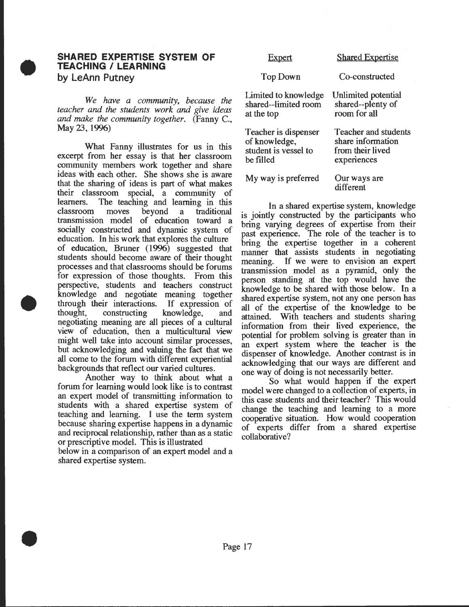### **SHARED EXPERTISE SYSTEM OF TEACHING I LEARNING by LeAnn Putney**

•

•

•

*We have a community, because the teacher and the students work and give ideas and make the community together.* (Fanny C., May 23, 1996)

What Fanny illustrates for us in this excerpt from her essay is that her classroom community members work together and share ideas with each other. She shows she is aware that the sharing of ideas is part of what makes their classroom special, a community of learners. The teaching and learning in this classroom moves beyond a traditional transmission model of education toward a socially constructed and dynamic system of education. In his work that explores the culture of education, Bruner (1996) suggested that students should become aware of their thought processes and that classrooms should be forums for expression of those thoughts. From this perspective, students and teachers construct knowledge and negotiate meaning together through their interactions. If expression of thought, constructing knowledge, and constructing knowledge, and negotiating meaning are all pieces of a cultural view of education, then a multicultural view might well take into account similar processes, but acknowledging and valuing the fact that we all come to the forum with different experiential backgrounds that reflect our varied cultures.

Another way to think about what a forum for learning would look like is to contrast an expert model of transmitting information to students with a shared expertise system of teaching and learning. I use the term system because sharing expertise happens in a dynamic and reciprocal relationship, rather than as a static or prescriptive model. This is illustrated

below in a comparison of an expert model and a shared expertise system .

| Expert                                                                     | <b>Shared Expertise</b>                                                             |
|----------------------------------------------------------------------------|-------------------------------------------------------------------------------------|
| Top Down                                                                   | Co-constructed                                                                      |
| Limited to knowledge<br>shared--limited room<br>at the top                 | Unlimited potential<br>shared--plenty of<br>room for all                            |
| Teacher is dispenser<br>of knowledge,<br>student is vessel to<br>be filled | <b>Teacher and students</b><br>share information<br>from their lived<br>experiences |
| My way is preferred                                                        | Our ways are<br>different                                                           |

In a shared expertise system, knowledge is jointly constructed by the participants who bring varying degrees of expertise from their past experience. The role of the teacher is to bring the expertise together in a coherent manner that assists students in negotiating meaning. If we were to envision an expert transmission model as a pyramid, only the person standing at the top would have the knowledge to be shared with those below. In a shared expertise system, not any one person has all of the expertise of the knowledge to be attained. With teachers and students shanng information from their lived experience, the potential for problem solving is greater than in an expert system where the teacher is the dispenser of knowledge. Another contrast is in acknowledging that our ways are different and one way of doing is not necessarily better.

So what would happen if the expert model were changed to a collection of experts, in this case students and their teacher? This would change the teaching and learning to a more cooperative situation. How would cooperation of experts differ from a shared expertise collaborative?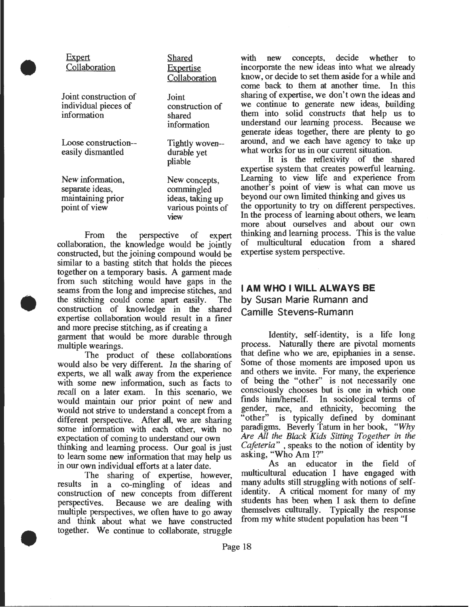### Expert Collaboration

•

•

•

|                                                                           | Collaboration                                                                |
|---------------------------------------------------------------------------|------------------------------------------------------------------------------|
| Joint construction of<br>individual pieces of<br>information              | Joint<br>construction of<br>shared<br>information                            |
| Loose construction--<br>easily dismantled                                 | Tightly woven--<br>durable yet<br>pliable                                    |
| New information,<br>separate ideas,<br>maintaining prior<br>point of view | New concepts,<br>commingled<br>ideas, taking up<br>various points of<br>view |

**Shared** Expertise

From the perspective of expert collaboration, the knowledge would be jointly constructed, but the joining compound would be similar to a basting stitch that holds the pieces together on a temporary basis. A garment made from such stitching would have gaps in the seams from the long and imprecise stitches, and the stitching could come apart easily. The construction of knowledge in the shared expertise collaboration would result in a finer and more precise stitching, as if creating a

garment that would be more durable through multiple wearings.

The product of these collaborations would also be very different. In the sharing of experts, we all walk away from the experience with some new information, such as facts to recall on a later exam. In this scenario, we would maintain our prior point of new and would not strive to understand a concept from a different perspective. After all, we are sharing some information with each other, with no expectation of coming to understand our own thinking and learning process. Our goal is just to learn some new information that may help us in our own individual efforts at a later date.

The sharing of expertise, however, results in a co-mingling of ideas and construction of new concepts from different perspectives. Because we are dealing with multiple perspectives, we often have to go away and think about what we have constructed together. We continue to collaborate, struggle

with new concepts, decide whether to incorporate the new ideas into what we already know, or decide to set them aside for a while and come back to them at another time. In this sharing of expertise, we don't own the ideas and we continue to generate new ideas, building them into solid constructs that help us to understand our learning process. Because we generate ideas together, there are plenty to go around, and we each have agency to take up what works for us in our current situation.

It is the reflexivity of the shared expertise system that creates powerful learning. Learning to view life and experience from another's point of view is what can move us beyond our own limited thinking and gives us the opportunity to try on different perspectives. In the process of learning about others, we learn more about ourselves and about our own thinking and learning process. This is the value of multicultural education from a shared expertise system perspective.

# **I AM WHO I WILL ALWAYS BE by Susan Marie Rumann and Camille Stevens-Rumann**

Identity, self-identity, is a life long process. Naturally there are pivotal moments that define who we are, epiphanies in a sense. Some of those moments are imposed upon us and others we invite. For many, the experience of being the "other" is not necessarily one consciously chooses but is one in which one finds him/herself. In sociological terms of gender, race, and ethnicity, becoming the "other" is typically defined by dominant paradigms. Beverly Tatum in her book, *"Why Are All the Black Kids Sitting Together in the Cafeteria"* , speaks to the notion of identity by asking, "Who Am I?"

As an educator in the field of multicultural education I have engaged with many adults still struggling with notions of selfidentity. A critical moment for many of my students has been when I ask them to define themselves culturally. Typically the response from my white student population has been "I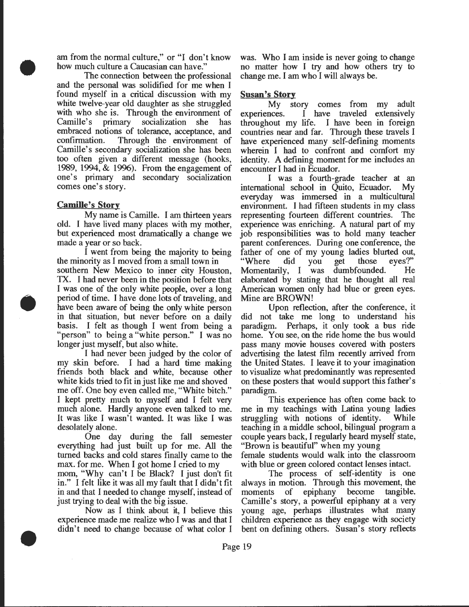am from the normal culture," or "I don't know how much culture a Caucasian can have."

The connection between the professional and the personal was solidified for me when I found myself in a critical discussion with my white twelve-year old daughter as she struggled with who she is. Through the environment of Camille's primary socialization she has socialization she has embraced notions of tolerance, acceptance, and confirmation. Through the environment of Camille's secondary socialization she has been too often given a different message (hooks, 1989, 1994, & 1996). From the engagement of one's primary and secondary socialization comes one's story.

#### Camille's Story

•

•

•

My name is Camille. I am thirteen years old. I have lived many places with my mother, but experienced most dramatically a change we made a year or so back.

I went from being the majority to being the minority as I moved from a small town in southern New Mexico to inner city Houston, TX. I had never been in the position before that I was one of the only white people, over a long period of time. I have done lots of traveling, and have been aware of being the only white person in that situation, but never before on a daily basis. I felt as though I went from being a "person" to being a "white person." I was no longer just myself, but also white.

I had never been judged by the color of my skin before. I had a hard time making friends both black and white, because other white kids tried to fit in just like me and shoved me off. One boy even called me, "White bitch." I kept pretty much to myself and I felt very much alone. Hardly anyone even talked to me. It was like I wasn't wanted. It was like I was desolately alone.

One day during the fall semester everything had just built up for me. All the turned backs and cold stares finally came to the max. for me. When I got home I cried to my

mom, "Why can't I be Black? I just don't fit in." I felt like it was all my fault that I didn't fit in and that I needed to change myself, instead of just trying to deal with the big issue.

Now as I think about it, I believe this experience made me realize who I was and that I didn't need to change because of what color I

was. Who I am inside is never going to change no matter how I try and how others try to change me. I am who I will always be.

### Susan's Story

My story comes from my adult experiences. I have traveled extensively throughout my life. I have been in foreign countries near and far. Through these travels I have experienced many self-defining moments wherein I had to confront and comfort my identity. A defining moment for me includes an encounter I had in Ecuador.

I was a fourth-grade teacher at an international school in Quito, Ecuador. My everyday was immersed in a multicultural environment. I had fifteen students in my class representing fourteen different countries. The experience was enriching. A natural part of my job responsibilities was to hold many teacher parent conferences. During one conference, the father of one of my young ladies blurted out,<br>"Where did you get those eyes?" "Where did you get those Momentarily, I was dumbfounded. He elaborated by stating that he thought all real American women only had blue or green eyes. Mine are BROWN!

Upon reflection, after the conference, it did not take me long to understand his paradigm. Perhaps, it only took a bus ride home. You see, on the ride home the bus would pass many movie houses covered with posters advertising the latest film recently arrived from the United States. I leave it to your imagination to visualize what predominantly was represented on these posters that would support this father's paradigm.

This experience has often come back to me in my teachings with Latina young ladies struggling with notions of identity. While teaching in a middle school, bilingual program a couple years back, I regularly heard myself state, "Brown is beautiful" when my young female students would walk into the classroom

with blue or green colored contact lenses intact.

The process of self-identity is one always in motion. Through this movement, the moments of epiphany become tangible. Camille's story, a powerful epiphany at a very young age, perhaps illustrates what many children experience as they engage with society bent on defining others. Susan's story reflects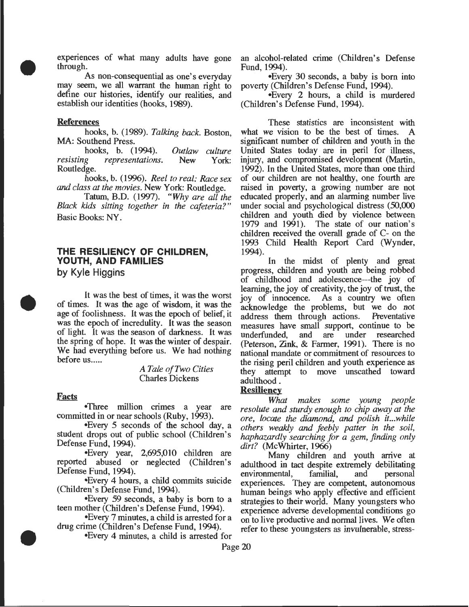experiences of what many adults have gone through.

As non-consequential as one's everyday may seem, we all warrant the human right to define our histories, identify our realities, and establish our identities (hooks, 1989).

### **References**

•

•

•

hooks, b. (1989). *Talking back.* Boston, MA: Southend Press.

hooks, b. (1994). *Outlaw culture resisting representations.* New Routledge.

hooks, b. (1996). *Reel to real: Race sex and class at the movies.* New York: Routledge.

Tatum, B.D. (1997). *"Why are all the Black kids sitting together in the cafeteria?"*  Basic Books: NY.

# **THE RESILIENCY OF CHILDREN, YOUTH, AND FAMILIES**

**by Kyle Higgins** 

It was the best of times, it was the worst of times. It was the age of wisdom, it was the age of foolishness. It was the epoch of belief, it was the epoch of incredulity. It was the season of light. It was the season of darkness. It was the spring of hope. It was the winter of despair. We had everything before us. We had nothing before us.....

> *A Tale ofTwo Cities*  Charles Dickens

#### **Facts**

•Three million crimes a year are committed in or near schools (Ruby, 1993).

•Every 5 seconds of the school day, a student drops out of public school (Children's Defense Fund, 1994).

•Every year, 2,695,010 children are reported abused or neglected (Children's Defense Fund, 1994).

•Every 4 hours, a child commits suicide (Children's Defense Fund, 1994).

•Every 59 seconds, a baby is born to a teen mother (Children's Defense Fund, 1994).

•Every 7 minutes, a child is arrested for a drug crime (Children's Defense Fund, 1994).

•Every 4 minutes, a child is arrested for

an alcohol-related crime (Children's Defense Fund, 1994).

•Every 30 seconds, a baby is born into poverty (Children's Defense Fund, 1994).

•Every 2 hours, a child is murdered (Children's Defense Fund, 1994).

These statistics are inconsistent with what we vision to be the best of times. A significant number of children and youth in the United States today are in peril for illness, injury, and compromised development (Martin, 1992). In the United States, more than one third of our children are not healthy, one fourth are raised in poverty, a growing number are not educated properly, and an alarming number live under social and psychological distress (50,000 children and youth died by violence between 1979 and 1991). The state of our nation's children received the overall grade of C- on the 1993 Child Health Report Card (Wynder, 1994).

In the midst of plenty and great progress, children and youth are being robbed of childhood and adolescence---the joy of learning, the joy of creativity, the joy of trust, the joy of innocence. As a country we often acknowledge the problems, but we do not address them through actions. measures have small support, continue to be underfunded, and are under researched and are under researched (Peterson, Zink, & Farmer, 1991). There is no national mandate or commitment of resources to the rising peril children and youth experience as they attempt to move unscathed toward adulthood.

### **Resiliency**

*What makes some young people resolute and sturdy enough to chip away at the ore, locate the diamond, and polish it ... while others weakly and feebly patter in the soil, haphazardly searching for a gem, finding only dirt?* (McWhirter, 1966)

Many children and youth arrive at adulthood in tact despite extremely debilitating environmental, familial, and personal experiences. They are competent, autonomous human beings who apply effective and efficient strategies to their world. Many youngsters who experience adverse developmental conditions go on to live productive and normal lives. We often refer to these youngsters as invulnerable, stress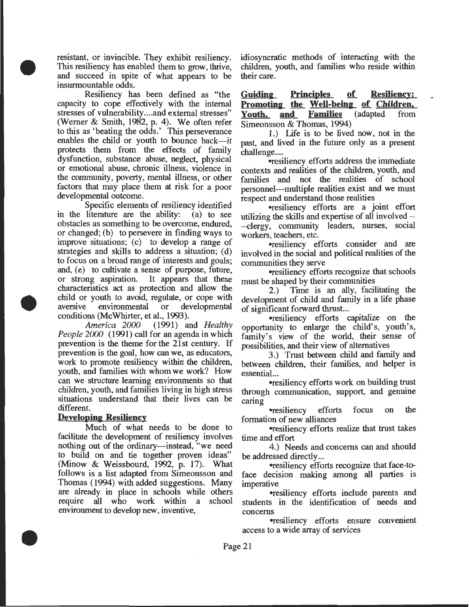resistant, or invincible. They exhibit resiliency. This resiliency has enabled them to grow, thrive, and succeed in spite of what appears to be insurmountable odds.

•

•

•

Resiliency has been defined as "the capacity to cope effectively with the internal stresses of vulnerability .... and external stresses" (Werner & Smith, 1982, p. 4). We often refer to this as 'beating the odds.' This perseverance enables the child or youth to bounce back---it protects them from the effects of family dysfunction, substance abuse, neglect, physical or emotional abuse, chronic illness, violence in the community, poverty, mental illness, or other factors that may place them at risk for a poor developmental outcome.

Specific elements of resiliency identified in the literature are the ability: (a) to see obstacles as something to be overcome, endured, or changed; (b) to persevere in finding ways to improve situations; (c) to develop a range of strategies and skills to address a situation; (d) to focus on a broad range of interests and goals; and, (e) to cultivate a sense of purpose, future, or strong aspiration. It appears that these characteristics act as protection and allow the child or youth to avoid, regulate, or cope with aversive environmental or developmental conditions (McWhirter, et al., 1993).

*America 2000* (1991) and *Healthy People 2000* (1991) call for an agenda in which prevention is the theme for the 21st century. If prevention is the goal, how can we, as educators, work to promote resiliency within the children, youth, and families with whom we work? How can we structure learning environments so that children, youth, and families living in high stress situations understand that their lives can be different.

### **Developing Resiliency**

Much of what needs to be done to facilitate the development of resiliency involves nothing out of the ordinary---instead, "we need to build on and tie together proven ideas" (Minow & Weissbourd, 1992, p. 17). What follows is a list adapted from Simeonsson and Thomas (1994) with added suggestions. Many are already in place in schools while others require all who work within a school environment to develop new, inventive,

idiosyncratic methods of interacting with the children, youth, and families who reside within their care.

**Guidina= Principles of Resiliency: <u>Promoting the Well-being of Children,</u><br>Youth, and Families** (adapted from **Youth, and** Simeonsson & Thomas, 1994)

1.) l.ife is to be lived now, not in the past, and lived in the future only as a present challenge....

•resiliency efforts address the immediate contexts and realities of the children, youth, and families and not the realities of school personnel---multiple realities exist and we must respect and understand those realities

•resiliency efforts are a joint effort utilizing the skills and expertise of all involved-- -clergy, community leaders, nurses, social workers, teachers, etc.

•resiliency efforts consider and are involved in the social and political realities of the communities they serve

•resiliency efforts recognize that schools must be shaped by their communities

2.) Time is an ally, facilitating the development of child and family in a life phase of significant forward thrust...

•resiliency efforts capitalize on the opportunity to enlarge the child's, youth's, family's view of the world, their sense of possibilities, and their view of alternatives

3.) Trust between child and family and between children, their families, and helper is essential...

•resiliency efforts work on building trust through communication, support, and genuine caring

•resiliency efforts focus on the formation of new alliances

•resiliency efforts realize that trust takes time and effort

4.) Needs and concerns can and should be addressed directly ...

•resiliency efforts recognize that face-toface decision making among all parties is imperative

•resiliency efforts include parents and students in the identification of needs and concerns

•resiliency efforts ensure convenient access to a wide array of services

Page 21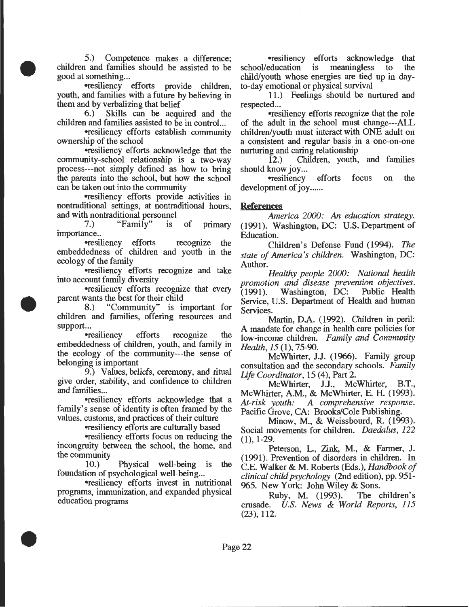5.) Competence makes a difference; children and families should be assisted to be good at something...

•

•

•

-resiliency efforts provide children, youth, and families with a future by believing in them and by verbalizing that belief

6.) Skills can be acquired and the children and families assisted to be in control...

•resiliency efforts establish community ownership of the school

•resiliency efforts acknowledge that the community-school relationship is a two-way process---not simply defined as how to bring the parents into the school, but how the school can be taken out into the community

-resiliency efforts provide activities in nontraditional settings, at nontraditional hours, and with nontraditional personnel<br>
7.) "Family" is

"Family" is of primary importance..

•resiliency efforts recognize the embeddedness of children and youth in the ecology of the family

•resiliency efforts recognize and take into account family diversity

•resiliency efforts recognize that every parent wants the best for their child

8.) "Community" is important for children and families, offering resources and support...

•resiliency efforts recognize the embeddedness of children, youth, and family in the ecology of the community---the sense of belonging is important

9.) Values, beliefs, ceremony, and ritual give order, stability, and confidence to children and families...

-resiliency efforts acknowledge that a family's sense of identity is often framed by the values, customs, and practices of their culture

-resiliency efforts are culturally based

-resiliency efforts focus on reducing the incongruity between the school, the home, and the community

10.) Physical well-being is the foundation of psychological well-being...

-resiliency efforts invest in nutritional programs, immunization, and expanded physical education programs

**•resiliency efforts acknowledge that**<br>education is meaningless to the school/education child/youth whose energies are tied up in dayto-day emotional or physical survival

11.) Feelings should be nurtured and respected ...

•resiliency efforts recognize that the role of the adult in the school must change---ALL children/youth must interact with ONE adult on a consistent and regular basis in a one-on-one nurturing and caring relationship<br>12.) Children, youth,

12.) Children, youth, and families should know joy...<br>
resiliency

efforts focus on the development of joy......

### **References**

*America 2000:* An *education strategy.*  (1991). Washington, DC: U.S. Department of Education.

Children's Defense Fund (1994). *The state of America's children.* Washington, DC: Author.

*Healthy people 2000: National health promotion and disease prevention objectives.*   $(1991)$ . Washington, DC: Service, U.S. Department of Health and human Services.

Martin, D.A. ( 1992). Children in peril: A mandate for change in health care policies for low-income children. *Family and Community Health, 15* (1), 75-90.

McWhirter, J.J. (1966). Family group consultation and the secondary schools. *Family Life Coordinator,* 15 (4), Part 2.

McWhirter, J.J., McWhirter, B.T., McWhirter, A.M., & McWhirter, E. H. (1993). *At-risk youth: A comprehensive response.*  Pacific Grove, CA: Brooks/Cole Publishing.

Minow, M., & Weissbourd, R. (1993). Social movements for children. *Daedalus, 122*   $(1), 1-29.$ 

Peterson, L, Zink, M., & Farmer, J. (1991). Prevention of disorders in children. In C.E. Walker & M. Roberts (Eds.), *Handbook of clinical child psychology* (2nd edition), pp. 951- 965. New York: John Wiley & Sons.

Ruby, M. (1993). The children's crusade. *U.S. News* & *World Reports, 115*   $(23), 112.$ 

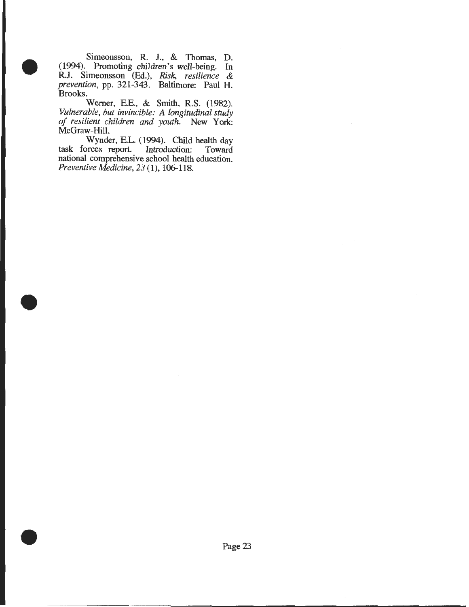Simeonsson, R. J., & Thomas, D. (1994). Promoting children's well-being. In R.J. Simeonsson (Ed.), *Risk, resilience & prevention,* pp. 321-343. Baltimore: Paul H. Brooks.

•

•

•

Werner, EE., & Smith, R.S. (1982). *Vulnerable, but invincible: A longitudinal study of resilient children and youth.* New York: McGraw-Hill.

Wynder, EL. (1994). Child health day task forces report. Introduction: Toward national comprehensive school health education. *Preventive Medicine, 23* (1), 106-118 .